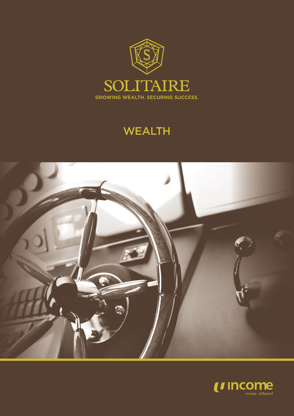

## **WEALTH**



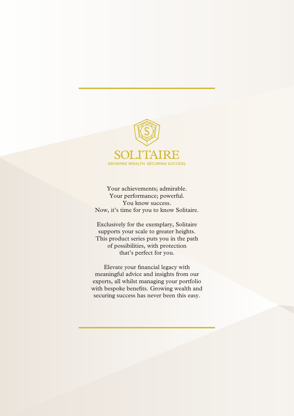

Your achievements; admirable. Your performance; powerful. You know success. Now, it's time for you to know Solitaire.

Exclusively for the exemplary, Solitaire supports your scale to greater heights. This product series puts you in the path of possibilities, with protection that's perfect for you.

Elevate your financial legacy with meaningful advice and insights from our experts, all whilst managing your portfolio with bespoke benefits. Growing wealth and securing success has never been this easy.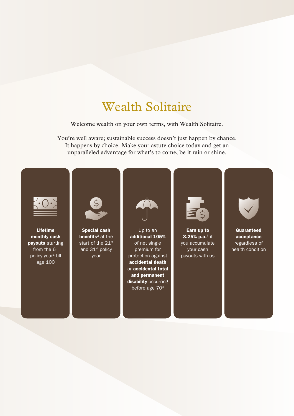### Wealth Solitaire

Welcome wealth on your own terms, with Wealth Solitaire.

You're well aware; sustainable success doesn't just happen by chance. It happens by choice. Make your astute choice today and get an unparalleled advantage for what's to come, be it rain or shine.

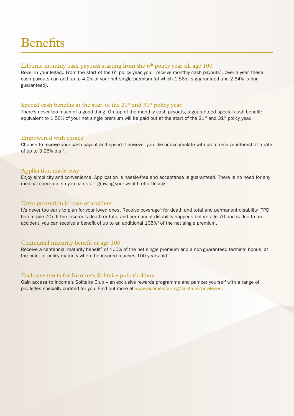## Benefits

### Lifetime monthly cash payouts starting from the  $6<sup>th</sup>$  policy year till age 100

Revel in your legacy. From the start of the  $6<sup>th</sup>$  policy year, you'll receive monthly cash payouts<sup>1</sup>. Over a year, these cash payouts can add up to 4.2% of your net single premium (of which 1.56% is guaranteed and 2.64% is nonguaranteed).

### Special cash benefits at the start of the  $21^{st}$  and  $31^{st}$  policy year

There's never too much of a good thing. On top of the monthly cash payouts, a guaranteed special cash benefit<sup>2</sup> equivalent to 1.56% of your net single premium will be paid out at the start of the  $21^{st}$  and  $31^{st}$  policy year.

#### Empowered with choice

Choose to receive your cash payout and spend it however you like or accumulate with us to receive interest at a rate of up to 3.25% p.a.4.

### Application made easy

Enjoy simplicity and convenience. Application is hassle-free and acceptance is guaranteed. There is no need for any medical check-up, so you can start growing your wealth effortlessly.

#### Extra protection in case of accident

It's never too early to plan for your loved ones. Receive coverage<sup>5</sup> for death and total and permanent disability (TPD before age 70). If the insured's death or total and permanent disability happens before age 70 and is due to an accident, you can receive a benefit of up to an additional 105%<sup>3</sup> of the net single premium.

### Centennial maturity benefit at age 100

Receive a centennial maturity benefit<sup>6</sup> of 105% of the net single premium and a non-guaranteed terminal bonus, at the point of policy maturity when the insured reaches 100 years old.

### Exclusive treats for Income's Solitaire policyholders

Gain access to Income's Solitaire Club – an exclusive rewards programme and pamper yourself with a range of privileges specially curated for you. Find out more at [www.income.com.sg/solitaire/privileges.](http://www.income.com.sg/solitaire/privileges)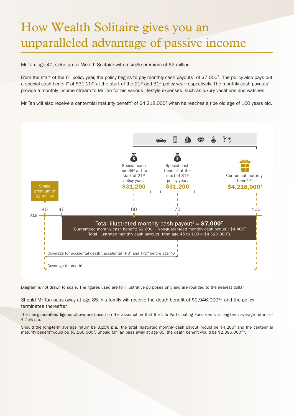# How Wealth Solitaire gives you an unparalleled advantage of passive income

Mr Tan, age 40, signs up for Wealth Solitaire with a single premium of \$2 million.

From the start of the 6<sup>th</sup> policy year, the policy begins to pay monthly cash payouts<sup>1</sup> of \$7,000<sup>7</sup>. The policy also pays out a special cash benefit<sup>2</sup> of \$31,200 at the start of the 21<sup>st</sup> and 31<sup>st</sup> policy year respectively. The monthly cash payouts<sup>1</sup> provide a monthly income stream to Mr Tan for his various lifestyle expenses, such as luxury vacations and watches.

Mr Tan will also receive a centennial maturity benefit<sup>6</sup> of \$4,218,000<sup>7</sup> when he reaches a ripe old age of 100 years old.



Diagram is not drawn to scale. The figures used are for illustrative purposes only and are rounded to the nearest dollar.

Should Mr Tan pass away at age 85, his family will receive the death benefit of \$2,946,000<sup>5,7</sup> and the policy terminates thereafter.

The non-guaranteed figures above are based on the assumption that the Life Participating Fund earns a long-term average return of 4.75% p.a.

Should the long-term average return be 3.25% p.a., the total illustrated monthly cash payout<sup>1</sup> would be \$4,266<sup>8</sup> and the centennial maturity benefit<sup>6</sup> would be \$3,166,000<sup>8</sup>. Should Mr Tan pass away at age 85, the death benefit would be \$2,396,000<sup>5,8</sup>.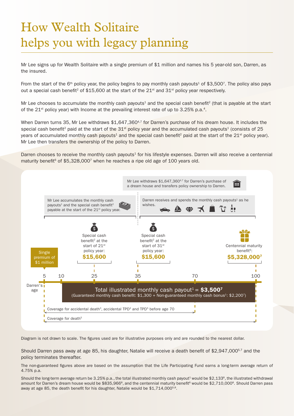# How Wealth Solitaire helps you with legacy planning

Mr Lee signs up for Wealth Solitaire with a single premium of \$1 million and names his 5 year-old son, Darren, as the insured.

From the start of the 6<sup>th</sup> policy year, the policy begins to pay monthly cash payouts<sup>1</sup> of \$3,500<sup>7</sup>. The policy also pays out a special cash benefit<sup>2</sup> of \$15,600 at the start of the  $21<sup>st</sup>$  and  $31<sup>st</sup>$  policy year respectively.

Mr Lee chooses to accumulate the monthly cash payouts<sup>1</sup> and the special cash benefit<sup>2</sup> (that is payable at the start of the  $21<sup>st</sup>$  policy year) with Income at the prevailing interest rate of up to 3.25% p.a.<sup>4</sup>.

When Darren turns 35, Mr Lee withdraws \$1,647,360<sup>4,7</sup> for Darren's purchase of his dream house. It includes the special cash benefit<sup>2</sup> paid at the start of the  $31<sup>st</sup>$  policy year and the accumulated cash payouts<sup>1</sup> (consists of 25 years of accumulated monthly cash payouts<sup>1</sup> and the special cash benefit<sup>2</sup> paid at the start of the  $21<sup>st</sup>$  policy year). Mr Lee then transfers the ownership of the policy to Darren.

Darren chooses to receive the monthly cash payouts<sup>1</sup> for his lifestyle expenses. Darren will also receive a centennial maturity benefit<sup>6</sup> of \$5,328,000<sup>7</sup> when he reaches a ripe old age of 100 years old.



Diagram is not drawn to scale. The figures used are for illustrative purposes only and are rounded to the nearest dollar.

Should Darren pass away at age 85, his daughter, Natalie will receive a death benefit of \$2,947,000<sup>5,7</sup> and the policy terminates thereafter.

The non-guaranteed figures above are based on the assumption that the Life Participating Fund earns a long-term average return of 4.75% p.a.

Should the long-term average return be 3.25% p.a., the total illustrated monthly cash payout<sup>1</sup> would be \$2,133<sup>8</sup>, the illustrated withdrawal amount for Darren's dream house would be \$835,966<sup>8</sup>, and the centennial maturity benefit<sup>6</sup> would be \$2,710,000<sup>8</sup>. Should Darren pass away at age 85, the death benefit for his daughter, Natalie would be  $$1,714,000^{5.8}$ .